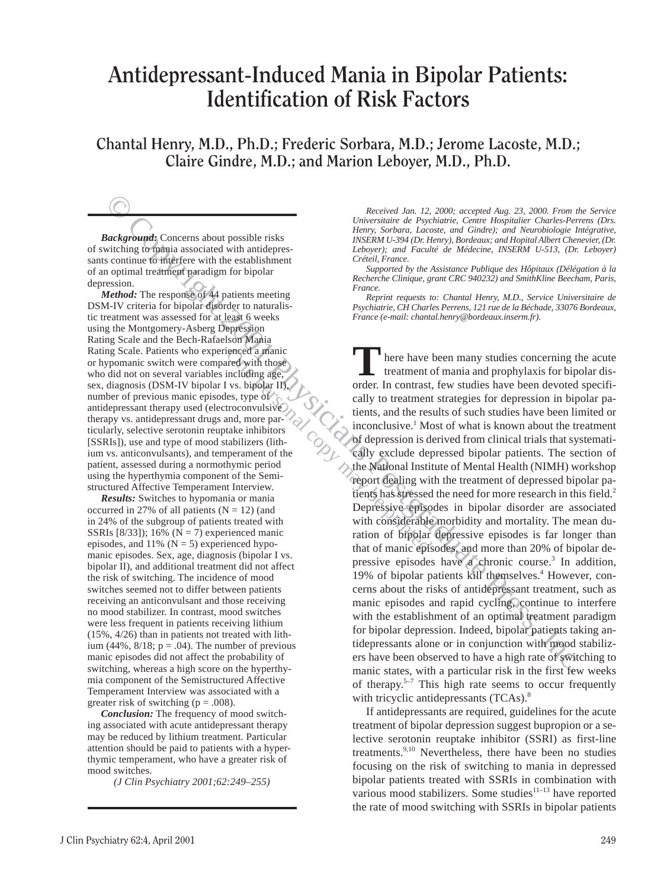# **Antidepressant-Induced Mania in Bipolar Patients: Identification of Risk Factors**

## **Chantal Henry, M.D., Ph.D.; Frederic Sorbara, M.D.; Jerome Lacoste, M.D.; Claire Gindre, M.D.; and Marion Leboyer, M.D., Ph.D.**

*Background:* Concerns about possible risks of switching to mania associated with antidepressants continue to interfere with the establishment of an optimal treatment paradigm for bipolar depression.

*Method:* The response of 44 patients meeting DSM-IV criteria for bipolar disorder to naturalistic treatment was assessed for at least 6 weeks using the Montgomery-Asberg Depression Rating Scale and the Bech-Rafaelson Mania Rating Scale. Patients who experienced a manic or hypomanic switch were compared with those who did not on several variables including age, sex, diagnosis (DSM-IV bipolar I vs. bipolar II), number of previous manic episodes, type of antidepressant therapy used (electroconvulsive therapy vs. antidepressant drugs and, more particularly, selective serotonin reuptake inhibitors [SSRIs]), use and type of mood stabilizers (lithium vs. anticonvulsants), and temperament of the patient, assessed during a normothymic period using the hyperthymia component of the Semistructured Affective Temperament Interview.

*Results:* Switches to hypomania or mania occurred in 27% of all patients  $(N = 12)$  (and in 24% of the subgroup of patients treated with SSRIs  $[8/33]$ ; 16% (N = 7) experienced manic episodes, and 11% ( $N = 5$ ) experienced hypomanic episodes. Sex, age, diagnosis (bipolar I vs. bipolar II), and additional treatment did not affect the risk of switching. The incidence of mood switches seemed not to differ between patients receiving an anticonvulsant and those receiving no mood stabilizer. In contrast, mood switches were less frequent in patients receiving lithium (15%, 4/26) than in patients not treated with lithium (44%,  $8/18$ ; p = .04). The number of previous manic episodes did not affect the probability of switching, whereas a high score on the hyperthymia component of the Semistructured Affective Temperament Interview was associated with a greater risk of switching ( $p = .008$ ).

*Conclusion:* The frequency of mood switching associated with acute antidepressant therapy may be reduced by lithium treatment. Particular attention should be paid to patients with a hyperthymic temperament, who have a greater risk of mood switches.

*(J Clin Psychiatry 2001;62:249–255)*

*Received Jan. 12, 2000; accepted Aug. 23, 2000. From the Service Universitaire de Psychiatrie, Centre Hospitalier Charles-Perrens (Drs. Henry, Sorbara, Lacoste, and Gindre); and Neurobiologie Intégrative, INSERM U-394 (Dr. Henry), Bordeaux; and Hopital Albert Chenevier, (Dr. Leboyer); and Faculté de Médecine, INSERM U-513, (Dr. Leboyer) Créteil, France.*

*Supported by the Assistance Publique des Hôpitaux (Délégation à la Recherche Clinique, grant CRC 940232) and SmithKline Beecham, Paris, France.*

*Reprint requests to: Chantal Henry, M.D., Service Universitaire de Psychiatrie, CH Charles Perrens, 121 rue de la Béchade, 33076 Bordeaux, France (e-mail: chantal.henry@bordeaux.inserm.fr).*

Copyright 2002 (and 130 2002)<br>
Distribution de Revision de Provision de Copyright Concerns about possible risks<br>
inc. The press, Inc. The Revision Concerns and the calibration of the concerns and the concerns in<br>
the conc here have been many studies concerning the acute treatment of mania and prophylaxis for bipolar dis-There have been many studies concerning the acute treatment of mania and prophylaxis for bipolar disorder. In contrast, few studies have been devoted specifically to treatment strategies for depression in bipolar patients, and the results of such studies have been limited or inconclusive.<sup>1</sup> Most of what is known about the treatment of depression is derived from clinical trials that systematically exclude depressed bipolar patients. The section of the National Institute of Mental Health (NIMH) workshop report dealing with the treatment of depressed bipolar patients has stressed the need for more research in this field.<sup>2</sup> Depressive episodes in bipolar disorder are associated with considerable morbidity and mortality. The mean duration of bipolar depressive episodes is far longer than that of manic episodes, and more than 20% of bipolar depressive episodes have a chronic course.3 In addition, 19% of bipolar patients kill themselves.<sup>4</sup> However, concerns about the risks of antidepressant treatment, such as manic episodes and rapid cycling, continue to interfere with the establishment of an optimal treatment paradigm for bipolar depression. Indeed, bipolar patients taking antidepressants alone or in conjunction with mood stabilizers have been observed to have a high rate of switching to manic states, with a particular risk in the first few weeks of therapy.<sup>5–7</sup> This high rate seems to occur frequently with tricyclic antidepressants (TCAs).<sup>8</sup>

> If antidepressants are required, guidelines for the acute treatment of bipolar depression suggest bupropion or a selective serotonin reuptake inhibitor (SSRI) as first-line treatments.<sup>9,10</sup> Nevertheless, there have been no studies focusing on the risk of switching to mania in depressed bipolar patients treated with SSRIs in combination with various mood stabilizers. Some studies<sup>11-13</sup> have reported the rate of mood switching with SSRIs in bipolar patients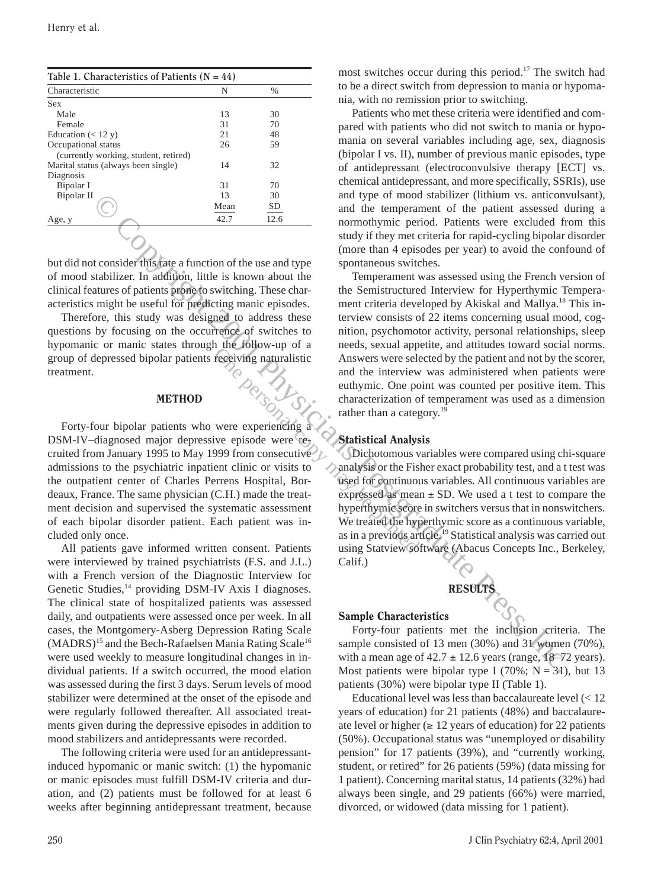| Table 1. Characteristics of Patients $(N = 44)$ |      |               |  |  |  |  |
|-------------------------------------------------|------|---------------|--|--|--|--|
| Characteristic                                  | N    | $\frac{0}{0}$ |  |  |  |  |
| Sex                                             |      |               |  |  |  |  |
| Male                                            | 13   | 30            |  |  |  |  |
| Female                                          | 31   | 70            |  |  |  |  |
| Education $(< 12 y)$                            | 21   | 48            |  |  |  |  |
| Occupational status                             | 26   | 59            |  |  |  |  |
| (currently working, student, retired)           |      |               |  |  |  |  |
| Marital status (always been single)             | 14   | 32            |  |  |  |  |
| Diagnosis                                       |      |               |  |  |  |  |
| Bipolar I                                       | 31   | 70            |  |  |  |  |
| Bipolar II                                      | 13   | 30            |  |  |  |  |
|                                                 | Mean | SD            |  |  |  |  |
| Age, y                                          | 42.7 | 12.6          |  |  |  |  |
|                                                 |      |               |  |  |  |  |

but did not consider this rate a function of the use and type of mood stabilizer. In addition, little is known about the clinical features of patients prone to switching. These characteristics might be useful for predicting manic episodes.

Therefore, this study was designed to address these questions by focusing on the occurrence of switches to hypomanic or manic states through the follow-up of a group of depressed bipolar patients receiving naturalistic treatment.

#### **METHOD**

Forty-four bipolar patients who were experiencing a DSM-IV–diagnosed major depressive episode were recruited from January 1995 to May 1999 from consecutive admissions to the psychiatric inpatient clinic or visits to the outpatient center of Charles Perrens Hospital, Bordeaux, France. The same physician (C.H.) made the treatment decision and supervised the systematic assessment of each bipolar disorder patient. Each patient was included only once.

All patients gave informed written consent. Patients were interviewed by trained psychiatrists (F.S. and J.L.) with a French version of the Diagnostic Interview for Genetic Studies,<sup>14</sup> providing DSM-IV Axis I diagnoses. The clinical state of hospitalized patients was assessed daily, and outpatients were assessed once per week. In all cases, the Montgomery-Asberg Depression Rating Scale  $(MADRS)^{15}$  and the Bech-Rafaelsen Mania Rating Scale<sup>16</sup> were used weekly to measure longitudinal changes in individual patients. If a switch occurred, the mood elation was assessed during the first 3 days. Serum levels of mood stabilizer were determined at the onset of the episode and were regularly followed thereafter. All associated treatments given during the depressive episodes in addition to mood stabilizers and antidepressants were recorded.

The following criteria were used for an antidepressantinduced hypomanic or manic switch: (1) the hypomanic or manic episodes must fulfill DSM-IV criteria and duration, and (2) patients must be followed for at least 6 weeks after beginning antidepressant treatment, because most switches occur during this period.<sup>17</sup> The switch had to be a direct switch from depression to mania or hypomania, with no remission prior to switching.

Patients who met these criteria were identified and compared with patients who did not switch to mania or hypomania on several variables including age, sex, diagnosis (bipolar I vs. II), number of previous manic episodes, type of antidepressant (electroconvulsive therapy [ECT] vs. chemical antidepressant, and more specifically, SSRIs), use and type of mood stabilizer (lithium vs. anticonvulsant), and the temperament of the patient assessed during a normothymic period. Patients were excluded from this study if they met criteria for rapid-cycling bipolar disorder (more than 4 episodes per year) to avoid the confound of spontaneous switches.

 $[Equation] We have been described in the next section, we have a continuous  
values of patients, and a typical data, and a typical data, and a similar data. The most of patients were excluded in the next section, and the two-dimensional data is not possible. The most of patients were used to be negative, and the two-dimensional data is not possible. The most of patients are not possible, but it is not possible to be negative, but it is not possible to be negative. The first interaction is not possible, the first interaction is not possible, but it is not possible to be negative. The first interaction is not possible, the first interaction is not possible, but it is not possible to be negative. The first interaction is not possible to be negative, and it is not possible to be negative. The first interaction is not possible to be negative, and it is not possible to be negative. The first interaction is not possible to be negative, and it is not possible to be negative. The first interaction is not possible, we can use the intertrivial$ Temperament was assessed using the French version of the Semistructured Interview for Hyperthymic Temperament criteria developed by Akiskal and Mallya.<sup>18</sup> This interview consists of 22 items concerning usual mood, cognition, psychomotor activity, personal relationships, sleep needs, sexual appetite, and attitudes toward social norms. Answers were selected by the patient and not by the scorer, and the interview was administered when patients were euthymic. One point was counted per positive item. This characterization of temperament was used as a dimension rather than a category.<sup>19</sup>

#### Statistical Analysis

Dichotomous variables were compared using chi-square analysis or the Fisher exact probability test, and a t test was used for continuous variables. All continuous variables are expressed as mean  $\pm$  SD. We used a t test to compare the hyperthymic score in switchers versus that in nonswitchers. We treated the hyperthymic score as a continuous variable, as in a previous article.<sup>19</sup> Statistical analysis was carried out using Statview software (Abacus Concepts Inc., Berkeley, Calif.)



#### Sample Characteristics

Forty-four patients met the inclusion criteria. The sample consisted of 13 men (30%) and 31 women (70%), with a mean age of  $42.7 \pm 12.6$  years (range,  $18-72$  years). Most patients were bipolar type I (70%;  $N = 31$ ), but 13 patients (30%) were bipolar type II (Table 1).

Educational level was less than baccalaureate level (< 12 years of education) for 21 patients (48%) and baccalaureate level or higher ( $\geq 12$  years of education) for 22 patients (50%). Occupational status was "unemployed or disability pension" for 17 patients (39%), and "currently working, student, or retired" for 26 patients (59%) (data missing for 1 patient). Concerning marital status, 14 patients (32%) had always been single, and 29 patients (66%) were married, divorced, or widowed (data missing for 1 patient).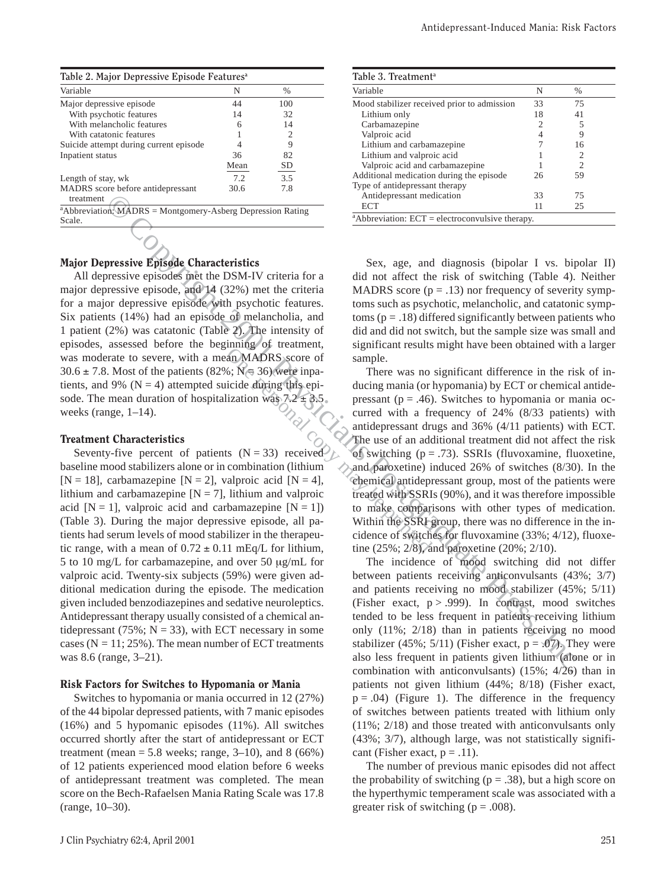| Table 2. Major Depressive Episode Features <sup>a</sup>                          |      |               |  |  |  |
|----------------------------------------------------------------------------------|------|---------------|--|--|--|
| Variable                                                                         | N    | $\frac{0}{0}$ |  |  |  |
| Major depressive episode                                                         | 44   | 100           |  |  |  |
| With psychotic features                                                          | 14   | 32            |  |  |  |
| With melancholic features                                                        | 6    | 14            |  |  |  |
| With catatonic features                                                          |      | 2             |  |  |  |
| Suicide attempt during current episode                                           |      | 9             |  |  |  |
| Inpatient status                                                                 | 36   | 82            |  |  |  |
|                                                                                  | Mean | SD            |  |  |  |
| Length of stay, wk                                                               | 7.2  | 3.5           |  |  |  |
| MADRS score before antidepressant<br>treatment                                   | 30.6 | 7.8           |  |  |  |
| <sup>a</sup> Abbreviation: MADRS = Montgomery-Asberg Depression Rating<br>Scale. |      |               |  |  |  |

### Major Depressive Episode Characteristics

All depressive episodes met the DSM-IV criteria for a major depressive episode, and 14 (32%) met the criteria for a major depressive episode with psychotic features. Six patients (14%) had an episode of melancholia, and 1 patient (2%) was catatonic (Table 2). The intensity of episodes, assessed before the beginning of treatment, was moderate to severe, with a mean MADRS score of  $30.6 \pm 7.8$ . Most of the patients (82%; N  $\approx 36$ ) were inpatients, and 9% ( $N = 4$ ) attempted suicide during this episode. The mean duration of hospitalization was  $7.2 \pm 3.5$ . weeks (range, 1–14).

#### Treatment Characteristics

**EXADES** - Montgomery-Asker Depression Rating<br>
Yabreviation: ECT - electrocorrolsive thengy,<br> **Pressive Eyiloged Characteristics**<br> **Pressive episode (metheristics**<br> **Pressive episode pred He (22%)** met the criteria of th eatment Characteristics<br>Seventy-five percent of patients  $(N = 33)$  received baseline mood stabilizers alone or in combination (lithium [N = 18], carbamazepine [N = 2], valproic acid [N = 4], lithium and carbamazepine  $[N = 7]$ , lithium and valproic acid [N = 1], valproic acid and carbamazepine [N = 1]) (Table 3). During the major depressive episode, all patients had serum levels of mood stabilizer in the therapeutic range, with a mean of  $0.72 \pm 0.11$  mEq/L for lithium, 5 to 10 mg/L for carbamazepine, and over 50 µg/mL for valproic acid. Twenty-six subjects (59%) were given additional medication during the episode. The medication given included benzodiazepines and sedative neuroleptics. Antidepressant therapy usually consisted of a chemical antidepressant (75%;  $N = 33$ ), with ECT necessary in some cases ( $N = 11$ ; 25%). The mean number of ECT treatments was 8.6 (range, 3–21).

#### Risk Factors for Switches to Hypomania or Mania

Switches to hypomania or mania occurred in 12 (27%) of the 44 bipolar depressed patients, with 7 manic episodes (16%) and 5 hypomanic episodes (11%). All switches occurred shortly after the start of antidepressant or ECT treatment (mean = 5.8 weeks; range,  $3-10$ ), and 8 (66%) of 12 patients experienced mood elation before 6 weeks of antidepressant treatment was completed. The mean score on the Bech-Rafaelsen Mania Rating Scale was 17.8 (range, 10–30).

| Variable                                    | N  | $\%$          |
|---------------------------------------------|----|---------------|
| Mood stabilizer received prior to admission | 33 | 75            |
| Lithium only                                | 18 | 41            |
| Carbamazepine                               |    | 5             |
| Valproic acid                               |    | 9             |
| Lithium and carbamazepine.                  |    | 16            |
| Lithium and valproic acid                   |    |               |
| Valproic acid and carbamazepine             |    | $\mathcal{D}$ |
| Additional medication during the episode    | 26 | 59            |
| Type of antidepressant therapy              |    |               |
| Antidepressant medication                   | 33 | 75            |
| ECT                                         | 11 | 25            |

Sex, age, and diagnosis (bipolar I vs. bipolar II) did not affect the risk of switching (Table 4). Neither MADRS score  $(p = .13)$  nor frequency of severity symptoms such as psychotic, melancholic, and catatonic symptoms ( $p = .18$ ) differed significantly between patients who did and did not switch, but the sample size was small and significant results might have been obtained with a larger sample.

There was no significant difference in the risk of inducing mania (or hypomania) by ECT or chemical antidepressant ( $p = .46$ ). Switches to hypomania or mania occurred with a frequency of 24% (8/33 patients) with antidepressant drugs and 36% (4/11 patients) with ECT. The use of an additional treatment did not affect the risk of switching  $(p = .73)$ . SSRIs (fluvoxamine, fluoxetine, and paroxetine) induced 26% of switches (8/30). In the chemical antidepressant group, most of the patients were treated with SSRIs (90%), and it was therefore impossible to make comparisons with other types of medication. Within the SSRI group, there was no difference in the incidence of switches for fluvoxamine (33%; 4/12), fluoxetine (25%; 2/8), and paroxetine (20%; 2/10).

The incidence of mood switching did not differ between patients receiving anticonvulsants (43%; 3/7) and patients receiving no mood stabilizer (45%; 5/11) (Fisher exact,  $p > .999$ ). In contrast, mood switches tended to be less frequent in patients receiving lithium only (11%; 2/18) than in patients receiving no mood stabilizer (45%; 5/11) (Fisher exact,  $p = .07$ ). They were also less frequent in patients given lithium (alone or in combination with anticonvulsants) (15%; 4/26) than in patients not given lithium (44%; 8/18) (Fisher exact,  $p = .04$ ) (Figure 1). The difference in the frequency of switches between patients treated with lithium only (11%; 2/18) and those treated with anticonvulsants only (43%; 3/7), although large, was not statistically significant (Fisher exact,  $p = .11$ ).

The number of previous manic episodes did not affect the probability of switching ( $p = .38$ ), but a high score on the hyperthymic temperament scale was associated with a greater risk of switching  $(p = .008)$ .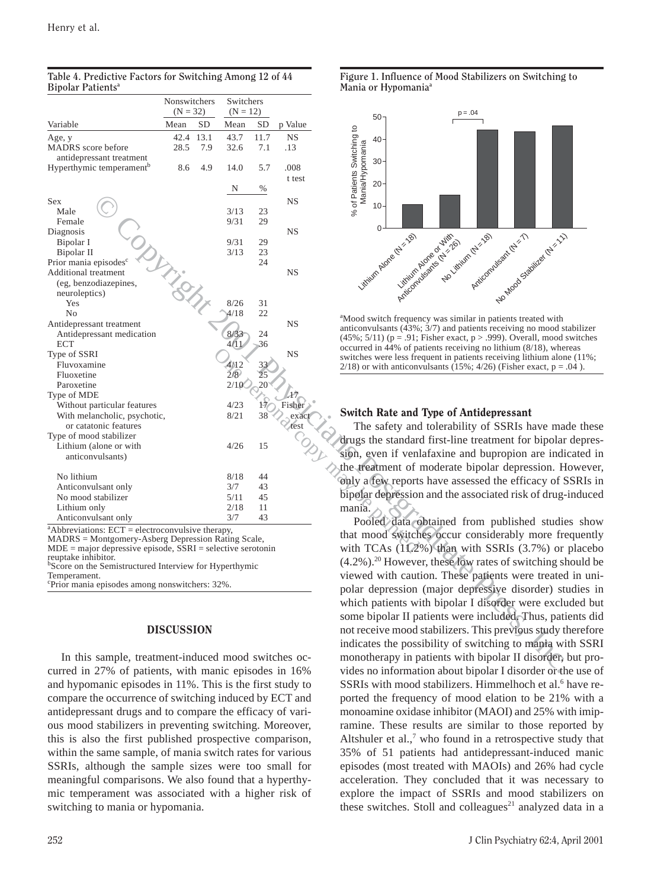|                                                                                                                                                                                                                                                                                                   | Nonswitchers     |             | Switchers    |             |                                                                                                                                                                                                                                                                          |                                                                                                                                                                                                                         |
|---------------------------------------------------------------------------------------------------------------------------------------------------------------------------------------------------------------------------------------------------------------------------------------------------|------------------|-------------|--------------|-------------|--------------------------------------------------------------------------------------------------------------------------------------------------------------------------------------------------------------------------------------------------------------------------|-------------------------------------------------------------------------------------------------------------------------------------------------------------------------------------------------------------------------|
|                                                                                                                                                                                                                                                                                                   | $(N = 32)$       |             | $(N = 12)$   |             |                                                                                                                                                                                                                                                                          | $p = .04$<br>50                                                                                                                                                                                                         |
| Variable                                                                                                                                                                                                                                                                                          | Mean             | SD          | Mean         | <b>SD</b>   | p Value                                                                                                                                                                                                                                                                  |                                                                                                                                                                                                                         |
| Age, y<br>MADRS score before                                                                                                                                                                                                                                                                      | 42.4<br>28.5     | 13.1<br>7.9 | 43.7<br>32.6 | 11.7<br>7.1 | <b>NS</b><br>.13                                                                                                                                                                                                                                                         | % of Patients Switching to<br>40 <sup>1</sup><br>Mania/Hypomania                                                                                                                                                        |
| antidepressant treatment                                                                                                                                                                                                                                                                          |                  |             |              |             |                                                                                                                                                                                                                                                                          | $30 -$                                                                                                                                                                                                                  |
| Hyperthymic temperament <sup>b</sup>                                                                                                                                                                                                                                                              | 8.6              | 4.9         | 14.0         | 5.7         | .008                                                                                                                                                                                                                                                                     |                                                                                                                                                                                                                         |
|                                                                                                                                                                                                                                                                                                   |                  |             |              |             | t test                                                                                                                                                                                                                                                                   | $20 -$                                                                                                                                                                                                                  |
|                                                                                                                                                                                                                                                                                                   |                  |             | N            | %           |                                                                                                                                                                                                                                                                          |                                                                                                                                                                                                                         |
| Sex<br>Male<br>Female                                                                                                                                                                                                                                                                             |                  |             | 3/13<br>9/31 | 23<br>29    | NS                                                                                                                                                                                                                                                                       | $10 -$                                                                                                                                                                                                                  |
| Diagnosis                                                                                                                                                                                                                                                                                         |                  |             |              |             | <b>NS</b>                                                                                                                                                                                                                                                                | $\mathbf{0}$                                                                                                                                                                                                            |
| Bipolar I                                                                                                                                                                                                                                                                                         |                  |             | 9/31         | 29          |                                                                                                                                                                                                                                                                          | No limit of the Asian<br>Anticontribant (A. 1)<br>imium Abreed & E. B.<br>Littlewide Area of White<br>Ne Mood Seattle River A. A.<br>Aritochurchistory of Nivega                                                        |
| Bipolar II                                                                                                                                                                                                                                                                                        | <b>IDSTRIGHT</b> |             | 3/13         | 23          |                                                                                                                                                                                                                                                                          |                                                                                                                                                                                                                         |
| Prior mania episodes <sup>c</sup>                                                                                                                                                                                                                                                                 |                  |             |              | 24          |                                                                                                                                                                                                                                                                          |                                                                                                                                                                                                                         |
| Additional treatment                                                                                                                                                                                                                                                                              |                  |             |              |             | <b>NS</b>                                                                                                                                                                                                                                                                |                                                                                                                                                                                                                         |
| (eg, benzodiazepines,                                                                                                                                                                                                                                                                             |                  |             |              |             |                                                                                                                                                                                                                                                                          |                                                                                                                                                                                                                         |
| neuroleptics)                                                                                                                                                                                                                                                                                     |                  |             |              |             |                                                                                                                                                                                                                                                                          |                                                                                                                                                                                                                         |
| Yes                                                                                                                                                                                                                                                                                               |                  |             | 8/26         | 31          |                                                                                                                                                                                                                                                                          |                                                                                                                                                                                                                         |
| N <sub>0</sub>                                                                                                                                                                                                                                                                                    |                  |             | 4/18         | 22          |                                                                                                                                                                                                                                                                          | <sup>a</sup> Mood switch frequency was similar in patients treated with                                                                                                                                                 |
| Antidepressant treatment                                                                                                                                                                                                                                                                          |                  |             |              |             | <b>NS</b>                                                                                                                                                                                                                                                                | anticonvulsants $(43\%; 3/7)$ and patients receiving no mood s                                                                                                                                                          |
| Antidepressant medication                                                                                                                                                                                                                                                                         |                  |             | 8/3<br>4/11  | 24<br>36    |                                                                                                                                                                                                                                                                          | $(45\%; 5/11)$ (p = .91; Fisher exact, p > .999). Overall, mood                                                                                                                                                         |
| <b>ECT</b><br>Type of SSRI                                                                                                                                                                                                                                                                        |                  |             |              |             | <b>NS</b>                                                                                                                                                                                                                                                                | occurred in 44% of patients receiving no lithium $(8/18)$ , when                                                                                                                                                        |
| Fluvoxamine                                                                                                                                                                                                                                                                                       |                  |             | 4/12         |             |                                                                                                                                                                                                                                                                          | switches were less frequent in patients receiving lithium alor                                                                                                                                                          |
| Fluoxetine                                                                                                                                                                                                                                                                                        |                  |             | 2/8          | 25          |                                                                                                                                                                                                                                                                          | $2/18$ ) or with anticonvulsants (15%; 4/26) (Fisher exact, p =                                                                                                                                                         |
| Paroxetine                                                                                                                                                                                                                                                                                        |                  |             | 2/10         | 20          |                                                                                                                                                                                                                                                                          |                                                                                                                                                                                                                         |
| Type of MDE                                                                                                                                                                                                                                                                                       |                  |             |              |             |                                                                                                                                                                                                                                                                          |                                                                                                                                                                                                                         |
| Without particular features                                                                                                                                                                                                                                                                       |                  |             | 4/23         | 17          | Fisher                                                                                                                                                                                                                                                                   |                                                                                                                                                                                                                         |
| With melancholic, psychotic,                                                                                                                                                                                                                                                                      |                  |             | 8/21         | 38          |                                                                                                                                                                                                                                                                          | Switch Rate and Type of Antidepressant                                                                                                                                                                                  |
| or catatonic features                                                                                                                                                                                                                                                                             |                  |             |              |             | tést                                                                                                                                                                                                                                                                     | The safety and tolerability of SSRIs have ma                                                                                                                                                                            |
| Type of mood stabilizer                                                                                                                                                                                                                                                                           |                  |             |              |             |                                                                                                                                                                                                                                                                          | drugs the standard first-line treatment for bipolar                                                                                                                                                                     |
| Lithium (alone or with                                                                                                                                                                                                                                                                            |                  |             | 4/26         | 15          |                                                                                                                                                                                                                                                                          | sion, even if venlafaxine and bupropion are ind                                                                                                                                                                         |
| anticonvulsants)                                                                                                                                                                                                                                                                                  |                  |             |              |             |                                                                                                                                                                                                                                                                          |                                                                                                                                                                                                                         |
| No lithium                                                                                                                                                                                                                                                                                        |                  |             | 8/18         | 44          |                                                                                                                                                                                                                                                                          | the treatment of moderate bipolar depression. H                                                                                                                                                                         |
| Anticonvulsant only                                                                                                                                                                                                                                                                               |                  |             | 3/7          | 43          |                                                                                                                                                                                                                                                                          | only a few reports have assessed the efficacy of :                                                                                                                                                                      |
| No mood stabilizer                                                                                                                                                                                                                                                                                |                  |             | 5/11         | 45          |                                                                                                                                                                                                                                                                          | bipolar depression and the associated risk of drug-                                                                                                                                                                     |
| Lithium only                                                                                                                                                                                                                                                                                      |                  |             | 2/18         | 11          |                                                                                                                                                                                                                                                                          | mania.                                                                                                                                                                                                                  |
| Anticonvulsant only                                                                                                                                                                                                                                                                               |                  |             | 3/7          | 43          |                                                                                                                                                                                                                                                                          | Pooled data obtained from published studi                                                                                                                                                                               |
| <sup>a</sup> Abbreviations: ECT = electroconvulsive therapy,<br>MADRS = Montgomery-Asberg Depression Rating Scale,<br>$MDE =$ major depressive episode, $SSRI =$ selective serotonin<br>reuptake inhibitor.<br><sup>b</sup> Score on the Semistructured Interview for Hyperthymic<br>Temperament. |                  |             |              |             |                                                                                                                                                                                                                                                                          | that mood switches occur considerably more fr<br>with TCAs $(11.2%)$ than with SSRIs $(3.7%)$ or<br>$(4.2\%)$ <sup>20</sup> However, these low rates of switching s<br>viewed with caution. These patients were treated |
| Prior mania episodes among nonswitchers: 32%.                                                                                                                                                                                                                                                     |                  |             |              |             |                                                                                                                                                                                                                                                                          | polar depression (major depressive disorder) st<br>which patients with bipolar I disorder were excl                                                                                                                     |
| <b>DISCUSSION</b><br>In this sample, treatment-induced mood switches oc-<br>curred in 27% of patients with manic enjsodes in 16%                                                                                                                                                                  |                  |             |              |             | some bipolar II patients were included. Thus, pat<br>not receive mood stabilizers. This previous study t<br>indicates the possibility of switching to mania w<br>monotherapy in patients with bipolar II disorder,<br>vides no information about binolar I disorder or t |                                                                                                                                                                                                                         |
|                                                                                                                                                                                                                                                                                                   |                  |             |              |             |                                                                                                                                                                                                                                                                          |                                                                                                                                                                                                                         |

**Table 4. Predictive Factors for Switching Among 12 of 44 Bipolar Patients<sup>a</sup>** 

#### DISCUSSION

In this sample, treatment-induced mood switches occurred in 27% of patients, with manic episodes in 16% and hypomanic episodes in 11%. This is the first study to compare the occurrence of switching induced by ECT and antidepressant drugs and to compare the efficacy of various mood stabilizers in preventing switching. Moreover, this is also the first published prospective comparison, within the same sample, of mania switch rates for various SSRIs, although the sample sizes were too small for meaningful comparisons. We also found that a hyperthymic temperament was associated with a higher risk of switching to mania or hypomania.





<sup>a</sup>Mood switch frequency was similar in patients treated with anticonvulsants (43%; 3/7) and patients receiving no mood stabilizer  $(45\%; 5/11)$  (p = .91; Fisher exact, p > .999). Overall, mood switches occurred in 44% of patients receiving no lithium (8/18), whereas switches were less frequent in patients receiving lithium alone (11%;  $2/18$ ) or with anticonvulsants (15%;  $4/26$ ) (Fisher exact,  $p = .04$ ).

#### Switch Rate and Type of Antidepressant

The safety and tolerability of SSRIs have made these drugs the standard first-line treatment for bipolar depression, even if venlafaxine and bupropion are indicated in the treatment of moderate bipolar depression. However, only a few reports have assessed the efficacy of SSRIs in bipolar depression and the associated risk of drug-induced mania.

Pooled data obtained from published studies show that mood switches occur considerably more frequently with TCAs (11.2%) than with SSRIs (3.7%) or placebo  $(4.2\%)$ .<sup>20</sup> However, these low rates of switching should be viewed with caution. These patients were treated in unipolar depression (major depressive disorder) studies in which patients with bipolar I disorder were excluded but some bipolar II patients were included. Thus, patients did not receive mood stabilizers. This previous study therefore indicates the possibility of switching to mania with SSRI monotherapy in patients with bipolar II disorder, but provides no information about bipolar I disorder or the use of SSRIs with mood stabilizers. Himmelhoch et al.<sup>6</sup> have reported the frequency of mood elation to be 21% with a monoamine oxidase inhibitor (MAOI) and 25% with imipramine. These results are similar to those reported by Altshuler et al., $\alpha$ <sup>7</sup> who found in a retrospective study that 35% of 51 patients had antidepressant-induced manic episodes (most treated with MAOIs) and 26% had cycle acceleration. They concluded that it was necessary to explore the impact of SSRIs and mood stabilizers on these switches. Stoll and colleagues<sup>21</sup> analyzed data in a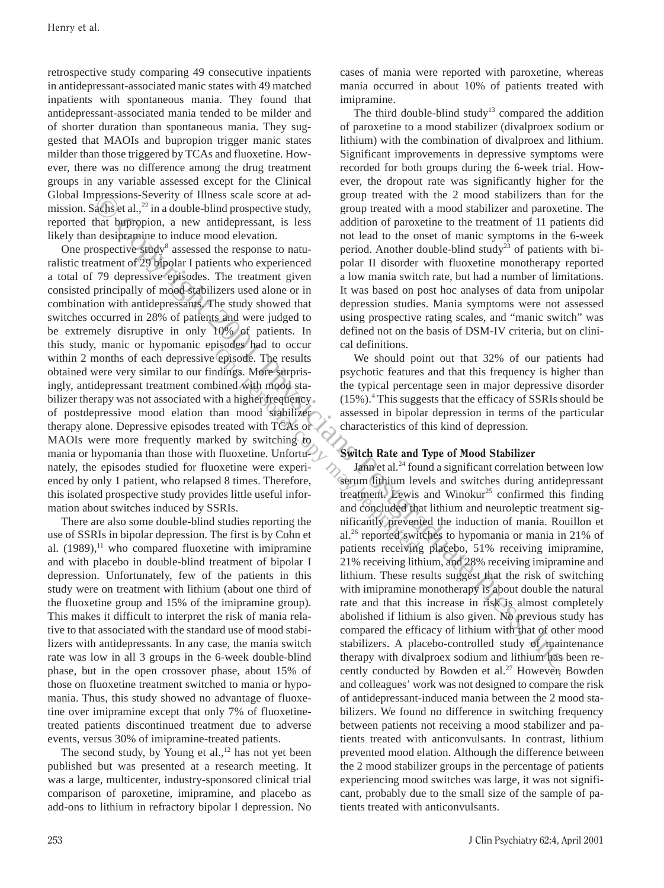retrospective study comparing 49 consecutive inpatients in antidepressant-associated manic states with 49 matched inpatients with spontaneous mania. They found that antidepressant-associated mania tended to be milder and of shorter duration than spontaneous mania. They suggested that MAOIs and bupropion trigger manic states milder than those triggered by TCAs and fluoxetine. However, there was no difference among the drug treatment groups in any variable assessed except for the Clinical Global Impressions-Severity of Illness scale score at admission. Sachs et al., $^{22}$  in a double-blind prospective study, reported that bupropion, a new antidepressant, is less likely than desipramine to induce mood elevation.

pressions. Severity of Illiness case are erect and error in the 2 mood stabilizer and any stabilizer and any proportion and are content in the second stabilizer and any increase that in the personal is less and<br>this of th One prospective study<sup>8</sup> assessed the response to naturalistic treatment of 29 bipolar I patients who experienced a total of 79 depressive episodes. The treatment given consisted principally of mood stabilizers used alone or in combination with antidepressants. The study showed that switches occurred in 28% of patients and were judged to be extremely disruptive in only 10% of patients. In this study, manic or hypomanic episodes had to occur within 2 months of each depressive episode. The results obtained were very similar to our findings. More surprisingly, antidepressant treatment combined with mood stabilizer therapy was not associated with a higher frequency. of postdepressive mood elation than mood stabilizer therapy alone. Depressive episodes treated with TCAs or MAOIs were more frequently marked by switching to mania or hypomania than those with fluoxetine. Unfortunately, the episodes studied for fluoxetine were experienced by only 1 patient, who relapsed 8 times. Therefore, this isolated prospective study provides little useful information about switches induced by SSRIs.

There are also some double-blind studies reporting the use of SSRIs in bipolar depression. The first is by Cohn et al.  $(1989)$ ,<sup>11</sup> who compared fluoxetine with imipramine and with placebo in double-blind treatment of bipolar I depression. Unfortunately, few of the patients in this study were on treatment with lithium (about one third of the fluoxetine group and 15% of the imipramine group). This makes it difficult to interpret the risk of mania relative to that associated with the standard use of mood stabilizers with antidepressants. In any case, the mania switch rate was low in all 3 groups in the 6-week double-blind phase, but in the open crossover phase, about 15% of those on fluoxetine treatment switched to mania or hypomania. Thus, this study showed no advantage of fluoxetine over imipramine except that only 7% of fluoxetinetreated patients discontinued treatment due to adverse events, versus 30% of imipramine-treated patients.

The second study, by Young et al., $^{12}$  has not yet been published but was presented at a research meeting. It was a large, multicenter, industry-sponsored clinical trial comparison of paroxetine, imipramine, and placebo as add-ons to lithium in refractory bipolar I depression. No

cases of mania were reported with paroxetine, whereas mania occurred in about 10% of patients treated with imipramine.

The third double-blind study<sup>13</sup> compared the addition of paroxetine to a mood stabilizer (divalproex sodium or lithium) with the combination of divalproex and lithium. Significant improvements in depressive symptoms were recorded for both groups during the 6-week trial. However, the dropout rate was significantly higher for the group treated with the 2 mood stabilizers than for the group treated with a mood stabilizer and paroxetine. The addition of paroxetine to the treatment of 11 patients did not lead to the onset of manic symptoms in the 6-week period. Another double-blind study<sup>23</sup> of patients with bipolar II disorder with fluoxetine monotherapy reported a low mania switch rate, but had a number of limitations. It was based on post hoc analyses of data from unipolar depression studies. Mania symptoms were not assessed using prospective rating scales, and "manic switch" was defined not on the basis of DSM-IV criteria, but on clinical definitions.

We should point out that 32% of our patients had psychotic features and that this frequency is higher than the typical percentage seen in major depressive disorder  $(15\%)$ <sup>4</sup>. This suggests that the efficacy of SSRIs should be assessed in bipolar depression in terms of the particular characteristics of this kind of depression.

### Switch Rate and Type of Mood Stabilizer

Jann et al.<sup>24</sup> found a significant correlation between low serum lithium levels and switches during antidepressant treatment. Lewis and Winokur<sup>25</sup> confirmed this finding and concluded that lithium and neuroleptic treatment significantly prevented the induction of mania. Rouillon et al.<sup>26</sup> reported switches to hypomania or mania in 21% of patients receiving placebo, 51% receiving imipramine, 21% receiving lithium, and 28% receiving imipramine and lithium. These results suggest that the risk of switching with imipramine monotherapy is about double the natural rate and that this increase in risk is almost completely abolished if lithium is also given. No previous study has compared the efficacy of lithium with that of other mood stabilizers. A placebo-controlled study of maintenance therapy with divalproex sodium and lithium has been recently conducted by Bowden et al.<sup>27</sup> However, Bowden and colleagues' work was not designed to compare the risk of antidepressant-induced mania between the 2 mood stabilizers. We found no difference in switching frequency between patients not receiving a mood stabilizer and patients treated with anticonvulsants. In contrast, lithium prevented mood elation. Although the difference between the 2 mood stabilizer groups in the percentage of patients experiencing mood switches was large, it was not significant, probably due to the small size of the sample of patients treated with anticonvulsants.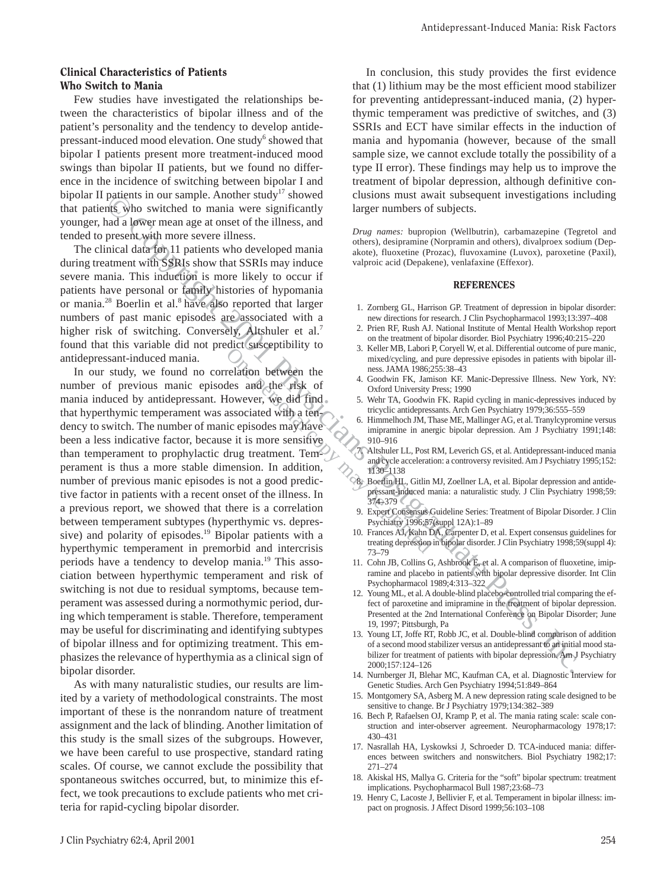#### Clinical Characteristics of Patients Who Switch to Mania

Few studies have investigated the relationships between the characteristics of bipolar illness and of the patient's personality and the tendency to develop antidepressant-induced mood elevation. One study<sup>6</sup> showed that bipolar I patients present more treatment-induced mood swings than bipolar II patients, but we found no difference in the incidence of switching between bipolar I and bipolar II patients in our sample. Another study<sup>17</sup> showed that patients who switched to mania were significantly younger, had a lower mean age at onset of the illness, and tended to present with more severe illness.

The clinical data for 11 patients who developed mania during treatment with SSRIs show that SSRIs may induce severe mania. This induction is more likely to occur if patients have personal or family histories of hypomania or mania.<sup>28</sup> Boerlin et al.<sup>8</sup> have also reported that larger numbers of past manic episodes are associated with a higher risk of switching. Conversely, Altshuler et al.<sup>7</sup> found that this variable did not predict susceptibility to antidepressant-induced mania.

parameter in the samely solution and the samely in the samely content in the samely result of the samely result of the samely result of the samely result of the samely and the samely and the samely and the samely and the In our study, we found no correlation between the number of previous manic episodes and the risk of mania induced by antidepressant. However, we did find that hyperthymic temperament was associated with a tendency to switch. The number of manic episodes may have been a less indicative factor, because it is more sensitive than temperament to prophylactic drug treatment. Temperament is thus a more stable dimension. In addition, number of previous manic episodes is not a good predictive factor in patients with a recent onset of the illness. In a previous report, we showed that there is a correlation between temperament subtypes (hyperthymic vs. depressive) and polarity of episodes.<sup>19</sup> Bipolar patients with a hyperthymic temperament in premorbid and intercrisis periods have a tendency to develop mania.<sup>19</sup> This association between hyperthymic temperament and risk of switching is not due to residual symptoms, because temperament was assessed during a normothymic period, during which temperament is stable. Therefore, temperament may be useful for discriminating and identifying subtypes of bipolar illness and for optimizing treatment. This emphasizes the relevance of hyperthymia as a clinical sign of bipolar disorder.

As with many naturalistic studies, our results are limited by a variety of methodological constraints. The most important of these is the nonrandom nature of treatment assignment and the lack of blinding. Another limitation of this study is the small sizes of the subgroups. However, we have been careful to use prospective, standard rating scales. Of course, we cannot exclude the possibility that spontaneous switches occurred, but, to minimize this effect, we took precautions to exclude patients who met criteria for rapid-cycling bipolar disorder.

In conclusion, this study provides the first evidence that (1) lithium may be the most efficient mood stabilizer for preventing antidepressant-induced mania, (2) hyperthymic temperament was predictive of switches, and (3) SSRIs and ECT have similar effects in the induction of mania and hypomania (however, because of the small sample size, we cannot exclude totally the possibility of a type II error). These findings may help us to improve the treatment of bipolar depression, although definitive conclusions must await subsequent investigations including larger numbers of subjects.

*Drug names:* bupropion (Wellbutrin), carbamazepine (Tegretol and others), desipramine (Norpramin and others), divalproex sodium (Depakote), fluoxetine (Prozac), fluvoxamine (Luvox), paroxetine (Paxil), valproic acid (Depakene), venlafaxine (Effexor).

#### REFERENCES

- 1. Zornberg GL, Harrison GP. Treatment of depression in bipolar disorder: new directions for research. J Clin Psychopharmacol 1993;13:397–408
- 2. Prien RF, Rush AJ. National Institute of Mental Health Workshop report on the treatment of bipolar disorder. Biol Psychiatry 1996;40:215–220
- 3. Keller MB, Labori P, Coryell W, et al. Differential outcome of pure manic, mixed/cycling, and pure depressive episodes in patients with bipolar illness. JAMA 1986;255:38–43
- 4. Goodwin FK, Jamison KF. Manic-Depressive Illness. New York, NY: Oxford University Press; 1990
- 5. Wehr TA, Goodwin FK. Rapid cycling in manic-depressives induced by tricyclic antidepressants. Arch Gen Psychiatry 1979;36:555–559
- 6. Himmelhoch JM, Thase ME, Mallinger AG, et al. Tranylcypromine versus imipramine in anergic bipolar depression. Am J Psychiatry 1991;148: 910–916
- 7. Altshuler LL, Post RM, Leverich GS, et al. Antidepressant-induced mania and cycle acceleration: a controversy revisited. Am J Psychiatry 1995;152: 1130–1138
- 8. Boerlin HL, Gitlin MJ, Zoellner LA, et al. Bipolar depression and antidepressant-induced mania: a naturalistic study. J Clin Psychiatry 1998;59: 374–379
- 9. Expert Consensus Guideline Series: Treatment of Bipolar Disorder. J Clin Psychiatry 1996;57(suppl 12A):1–89
- 10. Frances AJ, Kahn DA, Carpenter D, et al. Expert consensus guidelines for treating depression in bipolar disorder. J Clin Psychiatry 1998;59(suppl 4): 73–79
- 11. Cohn JB, Collins G, Ashbrook E, et al. A comparison of fluoxetine, imipramine and placebo in patients with bipolar depressive disorder. Int Clin Psychopharmacol 1989;4:313–322
- 12. Young ML, et al. A double-blind placebo-controlled trial comparing the effect of paroxetine and imipramine in the treatment of bipolar depression. Presented at the 2nd International Conference on Bipolar Disorder; June 19, 1997; Pittsburgh, Pa
- 13. Young LT, Joffe RT, Robb JC, et al. Double-blind comparison of addition of a second mood stabilizer versus an antidepressant to an initial mood stabilizer for treatment of patients with bipolar depression. Am J Psychiatry 2000;157:124–126
- 14. Nurnberger JI, Blehar MC, Kaufman CA, et al. Diagnostic Interview for Genetic Studies. Arch Gen Psychiatry 1994;51:849–864
- 15. Montgomery SA, Asberg M. A new depression rating scale designed to be sensitive to change. Br J Psychiatry 1979;134:382–389
- 16. Bech P, Rafaelsen OJ, Kramp P, et al. The mania rating scale: scale construction and inter-observer agreement. Neuropharmacology 1978;17: 430–431
- 17. Nasrallah HA, Lyskowksi J, Schroeder D. TCA-induced mania: differences between switchers and nonswitchers. Biol Psychiatry 1982;17: 271–274
- 18. Akiskal HS, Mallya G. Criteria for the "soft" bipolar spectrum: treatment implications. Psychopharmacol Bull 1987;23:68–73
- 19. Henry C, Lacoste J, Bellivier F, et al. Temperament in bipolar illness: impact on prognosis. J Affect Disord 1999;56:103–108